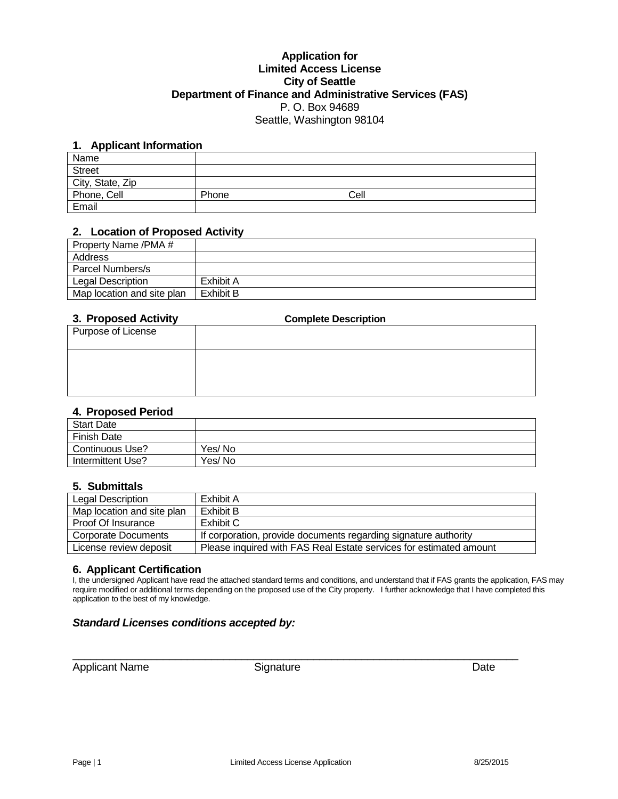# **Application for Limited Access License City of Seattle Department of Finance and Administrative Services (FAS)** P. O. Box 94689 Seattle, Washington 98104

# **1. Applicant Information**

| Name             |       |      |  |
|------------------|-------|------|--|
| <b>Street</b>    |       |      |  |
| City, State, Zip |       |      |  |
| Phone, Cell      | Phone | Cell |  |
| Email            |       |      |  |

#### **2. Location of Proposed Activity**

| Property Name /PMA #       |           |
|----------------------------|-----------|
| Address                    |           |
| Parcel Numbers/s           |           |
| Legal Description          | Exhibit A |
| Map location and site plan | Exhibit B |

## **3. Proposed Activity Complete Description**

| Purpose of License |  |
|--------------------|--|
|                    |  |

# **4. Proposed Period**

| <b>Start Date</b>  |        |
|--------------------|--------|
| <b>Finish Date</b> |        |
| Continuous Use?    | Yes/No |
| Intermittent Use?  | Yes/No |

# **5. Submittals**

| Legal Description          | Exhibit A                                                          |
|----------------------------|--------------------------------------------------------------------|
| Map location and site plan | Exhibit B                                                          |
| Proof Of Insurance         | Exhibit C                                                          |
| Corporate Documents        | If corporation, provide documents regarding signature authority    |
| License review deposit     | Please inquired with FAS Real Estate services for estimated amount |

# **6. Applicant Certification**

I, the undersigned Applicant have read the attached standard terms and conditions, and understand that if FAS grants the application, FAS may require modified or additional terms depending on the proposed use of the City property. I further acknowledge that I have completed this application to the best of my knowledge.

# *Standard Licenses conditions accepted by:*

Applicant Name Signature Signature Date

\_\_\_\_\_\_\_\_\_\_\_\_\_\_\_\_\_\_\_\_\_\_\_\_\_\_\_\_\_\_\_\_\_\_\_\_\_\_\_\_\_\_\_\_\_\_\_\_\_\_\_\_\_\_\_\_\_\_\_\_\_\_\_\_\_\_\_\_\_\_\_\_\_\_